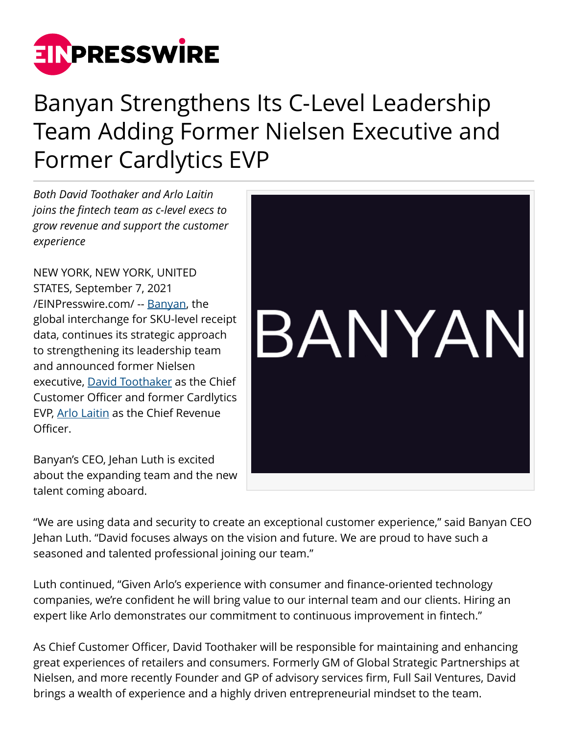

## Banyan Strengthens Its C-Level Leadership Team Adding Former Nielsen Executive and Former Cardlytics EVP

*Both David Toothaker and Arlo Laitin joins the fintech team as c-level execs to grow revenue and support the customer experience*

NEW YORK, NEW YORK, UNITED STATES, September 7, 2021 [/EINPresswire.com/](http://www.einpresswire.com) -- [Banyan,](https://getbanyan.com) the global interchange for SKU-level receipt data, continues its strategic approach to strengthening its leadership team and announced former Nielsen executive, [David Toothaker](https://www.linkedin.com/in/davidtoothaker/) as the Chief Customer Officer and former Cardlytics EVP, [Arlo Laitin](https://www.linkedin.com/in/arlolaitin/) as the Chief Revenue Officer.

Banyan's CEO, Jehan Luth is excited about the expanding team and the new talent coming aboard.



"We are using data and security to create an exceptional customer experience," said Banyan CEO Jehan Luth. "David focuses always on the vision and future. We are proud to have such a seasoned and talented professional joining our team."

Luth continued, "Given Arlo's experience with consumer and finance-oriented technology companies, we're confident he will bring value to our internal team and our clients. Hiring an expert like Arlo demonstrates our commitment to continuous improvement in fintech."

As Chief Customer Officer, David Toothaker will be responsible for maintaining and enhancing great experiences of retailers and consumers. Formerly GM of Global Strategic Partnerships at Nielsen, and more recently Founder and GP of advisory services firm, Full Sail Ventures, David brings a wealth of experience and a highly driven entrepreneurial mindset to the team.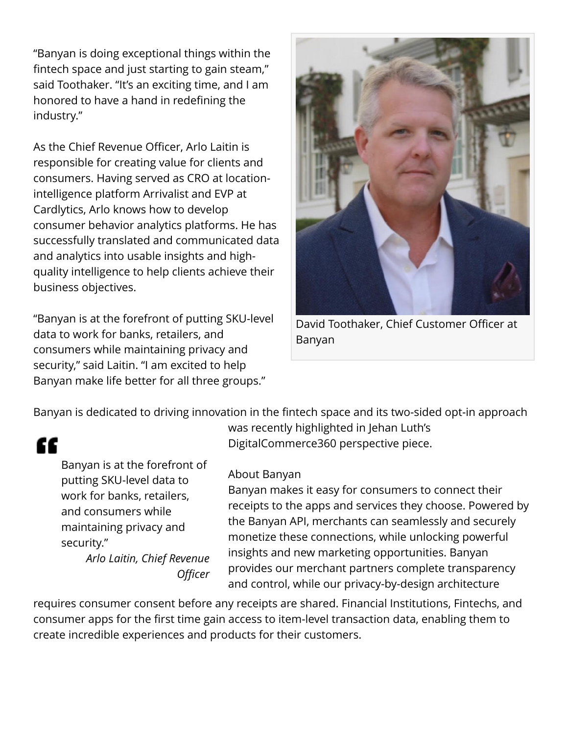"Banyan is doing exceptional things within the fintech space and just starting to gain steam," said Toothaker. "It's an exciting time, and I am honored to have a hand in redefining the industry."

As the Chief Revenue Officer, Arlo Laitin is responsible for creating value for clients and consumers. Having served as CRO at locationintelligence platform Arrivalist and EVP at Cardlytics, Arlo knows how to develop consumer behavior analytics platforms. He has successfully translated and communicated data and analytics into usable insights and highquality intelligence to help clients achieve their business objectives.

"Banyan is at the forefront of putting SKU-level data to work for banks, retailers, and consumers while maintaining privacy and security," said Laitin. "I am excited to help Banyan make life better for all three groups."



David Toothaker, Chief Customer Officer at Banyan

Banyan is dedicated to driving innovation in the fintech space and its two-sided opt-in approach

## "

Banyan is at the forefront of putting SKU-level data to work for banks, retailers, and consumers while maintaining privacy and security."

*Arlo Laitin, Chief Revenue Officer* was recently highlighted in Jehan Luth's DigitalCommerce360 perspective piece.

## About Banyan

Banyan makes it easy for consumers to connect their receipts to the apps and services they choose. Powered by the Banyan API, merchants can seamlessly and securely monetize these connections, while unlocking powerful insights and new marketing opportunities. Banyan provides our merchant partners complete transparency and control, while our privacy-by-design architecture

requires consumer consent before any receipts are shared. Financial Institutions, Fintechs, and consumer apps for the first time gain access to item-level transaction data, enabling them to create incredible experiences and products for their customers.